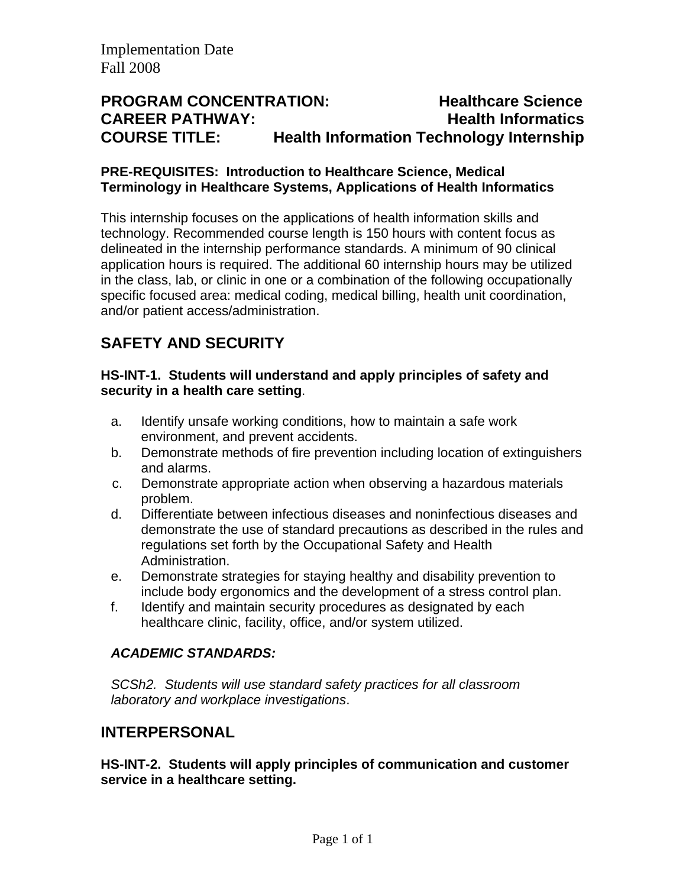## **PROGRAM CONCENTRATION: Healthcare Science CAREER PATHWAY: Health Informatics COURSE TITLE: Health Information Technology Internship**

#### **PRE-REQUISITES: Introduction to Healthcare Science, Medical Terminology in Healthcare Systems, Applications of Health Informatics**

This internship focuses on the applications of health information skills and technology. Recommended course length is 150 hours with content focus as delineated in the internship performance standards. A minimum of 90 clinical application hours is required. The additional 60 internship hours may be utilized in the class, lab, or clinic in one or a combination of the following occupationally specific focused area: medical coding, medical billing, health unit coordination, and/or patient access/administration.

# **SAFETY AND SECURITY**

#### **HS-INT-1. Students will understand and apply principles of safety and security in a health care setting**.

- a. Identify unsafe working conditions, how to maintain a safe work environment, and prevent accidents.
- b. Demonstrate methods of fire prevention including location of extinguishers and alarms.
- c. Demonstrate appropriate action when observing a hazardous materials problem.
- d. Differentiate between infectious diseases and noninfectious diseases and demonstrate the use of standard precautions as described in the rules and regulations set forth by the Occupational Safety and Health Administration.
- e. Demonstrate strategies for staying healthy and disability prevention to include body ergonomics and the development of a stress control plan.
- f. Identify and maintain security procedures as designated by each healthcare clinic, facility, office, and/or system utilized.

### *ACADEMIC STANDARDS:*

*SCSh2. Students will use standard safety practices for all classroom laboratory and workplace investigations*.

## **INTERPERSONAL**

**HS-INT-2. Students will apply principles of communication and customer service in a healthcare setting.**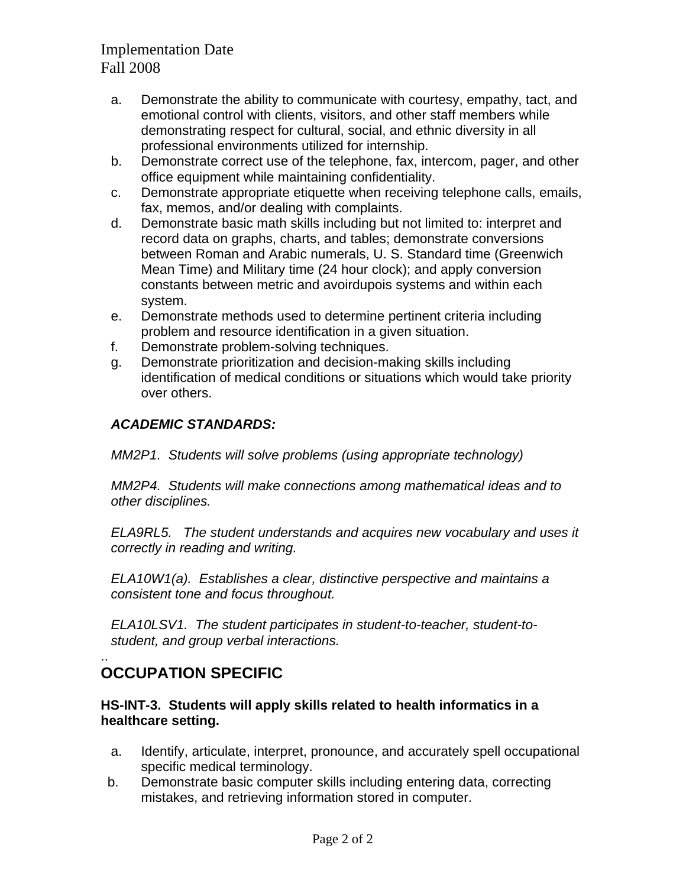- a. Demonstrate the ability to communicate with courtesy, empathy, tact, and emotional control with clients, visitors, and other staff members while demonstrating respect for cultural, social, and ethnic diversity in all professional environments utilized for internship.
- b. Demonstrate correct use of the telephone, fax, intercom, pager, and other office equipment while maintaining confidentiality.
- c. Demonstrate appropriate etiquette when receiving telephone calls, emails, fax, memos, and/or dealing with complaints.
- d. Demonstrate basic math skills including but not limited to: interpret and record data on graphs, charts, and tables; demonstrate conversions between Roman and Arabic numerals, U. S. Standard time (Greenwich Mean Time) and Military time (24 hour clock); and apply conversion constants between metric and avoirdupois systems and within each system.
- e. Demonstrate methods used to determine pertinent criteria including problem and resource identification in a given situation.
- f. Demonstrate problem-solving techniques.
- g. Demonstrate prioritization and decision-making skills including identification of medical conditions or situations which would take priority over others.

### *ACADEMIC STANDARDS:*

*MM2P1. Students will solve problems (using appropriate technology)* 

*MM2P4. Students will make connections among mathematical ideas and to other disciplines.* 

*ELA9RL5. The student understands and acquires new vocabulary and uses it correctly in reading and writing.* 

*ELA10W1(a). Establishes a clear, distinctive perspective and maintains a consistent tone and focus throughout.* 

*ELA10LSV1. The student participates in student-to-teacher, student-tostudent, and group verbal interactions.* 

### .. **OCCUPATION SPECIFIC**

#### **HS-INT-3. Students will apply skills related to health informatics in a healthcare setting.**

- a. Identify, articulate, interpret, pronounce, and accurately spell occupational specific medical terminology.
- b. Demonstrate basic computer skills including entering data, correcting mistakes, and retrieving information stored in computer.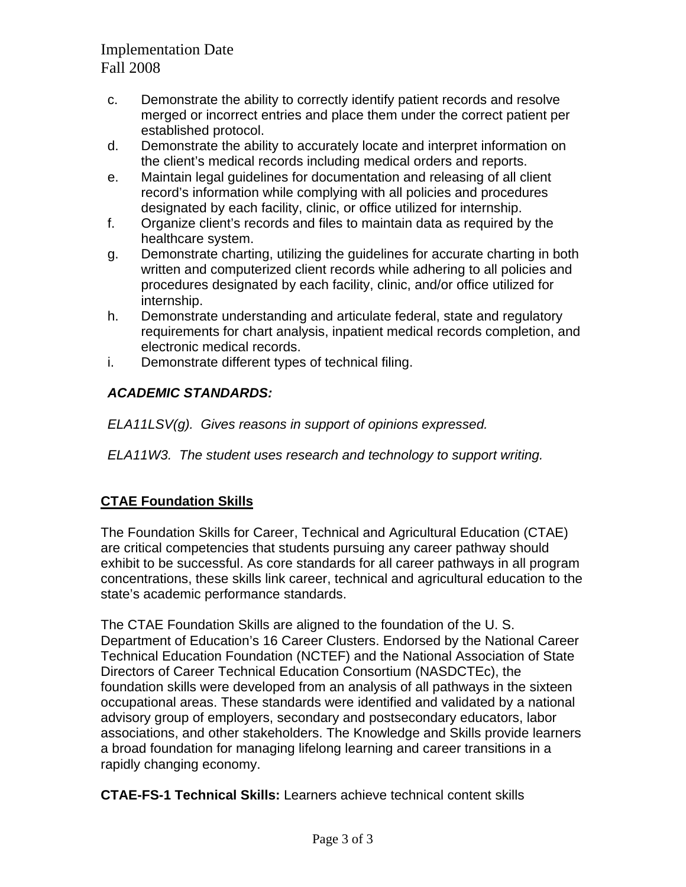- c. Demonstrate the ability to correctly identify patient records and resolve merged or incorrect entries and place them under the correct patient per established protocol.
- d. Demonstrate the ability to accurately locate and interpret information on the client's medical records including medical orders and reports.
- e. Maintain legal guidelines for documentation and releasing of all client record's information while complying with all policies and procedures designated by each facility, clinic, or office utilized for internship.
- f. Organize client's records and files to maintain data as required by the healthcare system.
- g. Demonstrate charting, utilizing the guidelines for accurate charting in both written and computerized client records while adhering to all policies and procedures designated by each facility, clinic, and/or office utilized for internship.
- h. Demonstrate understanding and articulate federal, state and regulatory requirements for chart analysis, inpatient medical records completion, and electronic medical records.
- i. Demonstrate different types of technical filing.

### *ACADEMIC STANDARDS:*

*ELA11LSV(g). Gives reasons in support of opinions expressed.* 

*ELA11W3. The student uses research and technology to support writing.* 

## **CTAE Foundation Skills**

The Foundation Skills for Career, Technical and Agricultural Education (CTAE) are critical competencies that students pursuing any career pathway should exhibit to be successful. As core standards for all career pathways in all program concentrations, these skills link career, technical and agricultural education to the state's academic performance standards.

The CTAE Foundation Skills are aligned to the foundation of the U. S. Department of Education's 16 Career Clusters. Endorsed by the National Career Technical Education Foundation (NCTEF) and the National Association of State Directors of Career Technical Education Consortium (NASDCTEc), the foundation skills were developed from an analysis of all pathways in the sixteen occupational areas. These standards were identified and validated by a national advisory group of employers, secondary and postsecondary educators, labor associations, and other stakeholders. The Knowledge and Skills provide learners a broad foundation for managing lifelong learning and career transitions in a rapidly changing economy.

**CTAE-FS-1 Technical Skills:** Learners achieve technical content skills